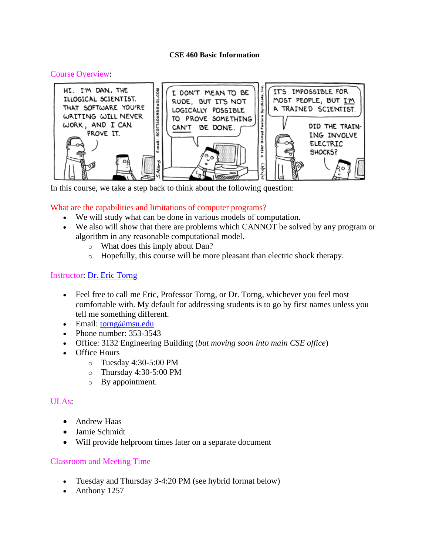#### **CSE 460 Basic Information**

#### Course Overview:



In this course, we take a step back to think about the following question:

## What are the capabilities and limitations of computer programs?

- We will study what can be done in various models of computation.
- We also will show that there are problems which CANNOT be solved by any program or algorithm in any reasonable computational model.
	- o What does this imply about Dan?
	- o Hopefully, this course will be more pleasant than electric shock therapy.

## Instructor: [Dr. Eric Torng](http://www.cse.msu.edu/~torng)

- Feel free to call me Eric, Professor Torng, or Dr. Torng, whichever you feel most comfortable with. My default for addressing students is to go by first names unless you tell me something different.
- Email: [torng@msu.edu](mailto:torng@msu.edu)
- Phone number: 353-3543
- Office: 3132 Engineering Building (*but moving soon into main CSE office*)
- Office Hours
	- o Tuesday 4:30-5:00 PM
	- o Thursday 4:30-5:00 PM
	- o By appointment.

#### ULAs:

- Andrew Haas
- Jamie Schmidt
- Will provide helproom times later on a separate document

#### Classroom and Meeting Time

- Tuesday and Thursday 3-4:20 PM (see hybrid format below)
- Anthony 1257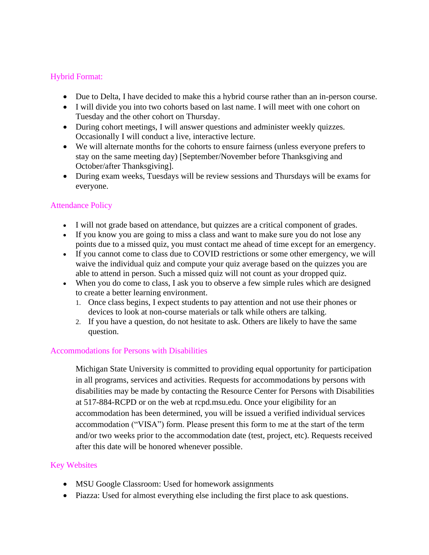# Hybrid Format:

- Due to Delta, I have decided to make this a hybrid course rather than an in-person course.
- I will divide you into two cohorts based on last name. I will meet with one cohort on Tuesday and the other cohort on Thursday.
- During cohort meetings, I will answer questions and administer weekly quizzes. Occasionally I will conduct a live, interactive lecture.
- We will alternate months for the cohorts to ensure fairness (unless everyone prefers to stay on the same meeting day) [September/November before Thanksgiving and October/after Thanksgiving].
- During exam weeks, Tuesdays will be review sessions and Thursdays will be exams for everyone.

# Attendance Policy

- I will not grade based on attendance, but quizzes are a critical component of grades.
- If you know you are going to miss a class and want to make sure you do not lose any points due to a missed quiz, you must contact me ahead of time except for an emergency.
- If you cannot come to class due to COVID restrictions or some other emergency, we will waive the individual quiz and compute your quiz average based on the quizzes you are able to attend in person. Such a missed quiz will not count as your dropped quiz.
- When you do come to class, I ask you to observe a few simple rules which are designed to create a better learning environment.
	- 1. Once class begins, I expect students to pay attention and not use their phones or devices to look at non-course materials or talk while others are talking.
	- 2. If you have a question, do not hesitate to ask. Others are likely to have the same question.

# Accommodations for Persons with Disabilities

Michigan State University is committed to providing equal opportunity for participation in all programs, services and activities. Requests for accommodations by persons with disabilities may be made by contacting the Resource Center for Persons with Disabilities at 517-884-RCPD or on the web at rcpd.msu.edu. Once your eligibility for an accommodation has been determined, you will be issued a verified individual services accommodation ("VISA") form. Please present this form to me at the start of the term and/or two weeks prior to the accommodation date (test, project, etc). Requests received after this date will be honored whenever possible.

# Key Websites

- MSU Google Classroom: Used for homework assignments
- Piazza: Used for almost everything else including the first place to ask questions.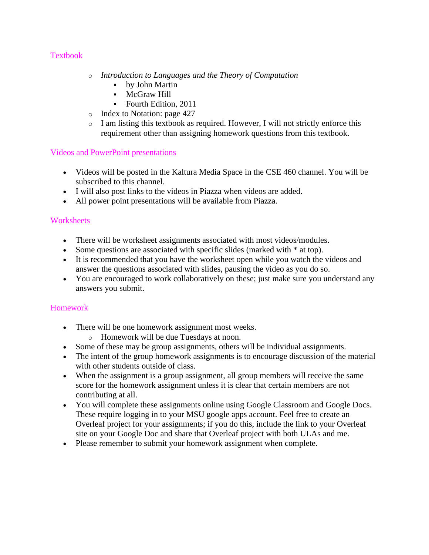# **Textbook**

- o *Introduction to Languages and the Theory of Computation*
	- by John Martin
	- **•** McGraw Hill
	- Fourth Edition, 2011
- o Index to Notation: page 427
- o I am listing this textbook as required. However, I will not strictly enforce this requirement other than assigning homework questions from this textbook.

# Videos and PowerPoint presentations

- Videos will be posted in the Kaltura Media Space in the CSE 460 channel. You will be subscribed to this channel.
- I will also post links to the videos in Piazza when videos are added.
- All power point presentations will be available from Piazza.

# **Worksheets**

- There will be worksheet assignments associated with most videos/modules.
- Some questions are associated with specific slides (marked with  $*$  at top).
- It is recommended that you have the worksheet open while you watch the videos and answer the questions associated with slides, pausing the video as you do so.
- You are encouraged to work collaboratively on these; just make sure you understand any answers you submit.

# Homework

- There will be one homework assignment most weeks.
	- o Homework will be due Tuesdays at noon.
- Some of these may be group assignments, others will be individual assignments.
- The intent of the group homework assignments is to encourage discussion of the material with other students outside of class.
- When the assignment is a group assignment, all group members will receive the same score for the homework assignment unless it is clear that certain members are not contributing at all.
- You will complete these assignments online using Google Classroom and Google Docs. These require logging in to your MSU google apps account. Feel free to create an Overleaf project for your assignments; if you do this, include the link to your Overleaf site on your Google Doc and share that Overleaf project with both ULAs and me.
- Please remember to submit your homework assignment when complete.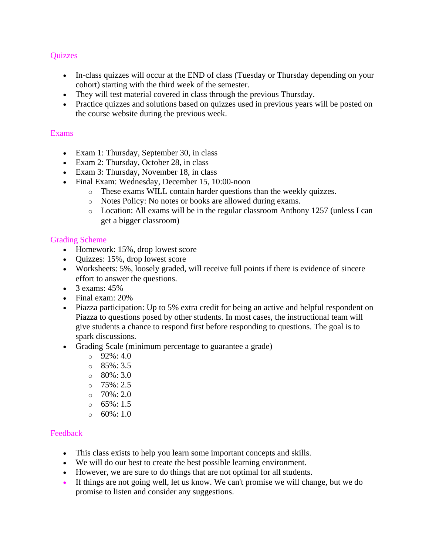## **Ouizzes**

- In-class quizzes will occur at the END of class (Tuesday or Thursday depending on your cohort) starting with the third week of the semester.
- They will test material covered in class through the previous Thursday.
- Practice quizzes and solutions based on quizzes used in previous years will be posted on the course website during the previous week.

## Exams

- Exam 1: Thursday, September 30, in class
- Exam 2: Thursday, October 28, in class
- Exam 3: Thursday, November 18, in class
- Final Exam: Wednesday, December 15, 10:00-noon
	- o These exams WILL contain harder questions than the weekly quizzes.
	- o Notes Policy: No notes or books are allowed during exams.
	- o Location: All exams will be in the regular classroom Anthony 1257 (unless I can get a bigger classroom)

#### Grading Scheme

- Homework: 15%, drop lowest score
- Quizzes: 15%, drop lowest score
- Worksheets: 5%, loosely graded, will receive full points if there is evidence of sincere effort to answer the questions.
- $\bullet$  3 exams: 45%
- Final exam: 20%
- Piazza participation: Up to 5% extra credit for being an active and helpful respondent on Piazza to questions posed by other students. In most cases, the instructional team will give students a chance to respond first before responding to questions. The goal is to spark discussions.
- Grading Scale (minimum percentage to guarantee a grade)
	- $O$  92%: 4.0
	- $\circ$  85%: 3.5
	- $\circ$  80%: 3.0
	- $O$  75%: 2.5
	- $O$  70%: 2.0
	- $\circ$  65%: 1.5
	- $\circ$  60%: 1.0

#### Feedback

- This class exists to help you learn some important concepts and skills.
- We will do our best to create the best possible learning environment.
- However, we are sure to do things that are not optimal for all students.
- If things are not going well, let us know. We can't promise we will change, but we do promise to listen and consider any suggestions.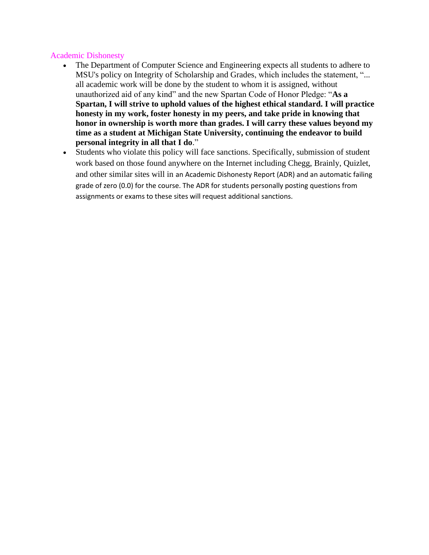#### Academic Dishonesty

- The Department of Computer Science and Engineering expects all students to adhere to MSU's policy on Integrity of Scholarship and Grades, which includes the statement, "... all academic work will be done by the student to whom it is assigned, without unauthorized aid of any kind" and the new Spartan Code of Honor Pledge: "**As a Spartan, I will strive to uphold values of the highest ethical standard. I will practice honesty in my work, foster honesty in my peers, and take pride in knowing that honor in ownership is worth more than grades. I will carry these values beyond my time as a student at Michigan State University, continuing the endeavor to build personal integrity in all that I do**."
- Students who violate this policy will face sanctions. Specifically, submission of student work based on those found anywhere on the Internet including Chegg, Brainly, Quizlet, and other similar sites will in an Academic Dishonesty Report (ADR) and an automatic failing grade of zero (0.0) for the course. The ADR for students personally posting questions from assignments or exams to these sites will request additional sanctions.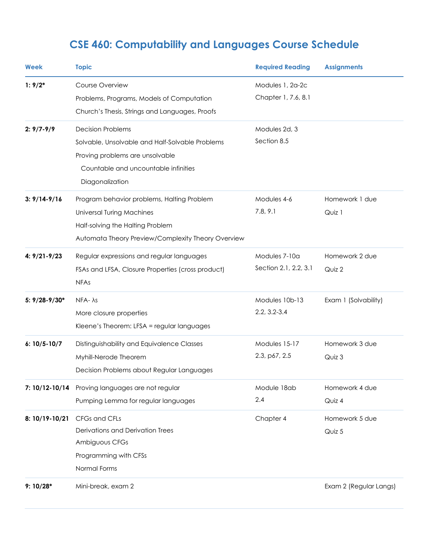# **CSE 460: Computability and Languages Course Schedule**

| Week              | <b>Topic</b>                                       | <b>Required Reading</b> | <b>Assignments</b>     |
|-------------------|----------------------------------------------------|-------------------------|------------------------|
| $1:9/2*$          | Course Overview                                    | Modules 1, 2a-2c        |                        |
|                   | Problems, Programs, Models of Computation          | Chapter 1, 7.6, 8.1     |                        |
|                   | Church's Thesis, Strings and Languages, Proofs     |                         |                        |
| $2: 9/7 - 9/9$    | <b>Decision Problems</b>                           | Modules 2d, 3           |                        |
|                   | Solvable, Unsolvable and Half-Solvable Problems    | Section 8.5             |                        |
|                   | Proving problems are unsolvable                    |                         |                        |
|                   | Countable and uncountable infinities               |                         |                        |
|                   | Diagonalization                                    |                         |                        |
| $3: 9/14 - 9/16$  | Program behavior problems, Halting Problem         | Modules 4-6             | Homework 1 due         |
|                   | <b>Universal Turing Machines</b>                   | 7.8, 9.1                | Quiz 1                 |
|                   | Half-solving the Halting Problem                   |                         |                        |
|                   | Automata Theory Preview/Complexity Theory Overview |                         |                        |
| $4: 9/21 - 9/23$  | Regular expressions and regular languages          | Modules 7-10a           | Homework 2 due         |
|                   | FSAs and LFSA, Closure Properties (cross product)  | Section 2.1, 2.2, 3.1   | Quiz 2                 |
|                   | <b>NFAs</b>                                        |                         |                        |
| $5: 9/28 - 9/30*$ | $NFA \lambda s$                                    | Modules 10b-13          | Exam 1 (Solvability)   |
|                   | More closure properties                            | $2.2, 3.2 - 3.4$        |                        |
|                   | Kleene's Theorem: LFSA = regular languages         |                         |                        |
| $6: 10/5 - 10/7$  | Distinguishability and Equivalence Classes         | Modules 15-17           | Homework 3 due         |
|                   | Myhill-Nerode Theorem                              | 2.3, p67, 2.5           | Quiz 3                 |
|                   | Decision Problems about Regular Languages          |                         |                        |
| 7: 10/12-10/14    | Proving languages are not regular                  | Module 18ab             | Homework 4 due         |
|                   | Pumping Lemma for regular languages                | 2.4                     | Quiz 4                 |
| 8: 10/19-10/21    | CFGs and CFLs                                      | Chapter 4               | Homework 5 due         |
|                   | Derivations and Derivation Trees                   |                         | Quiz 5                 |
|                   | Ambiguous CFGs                                     |                         |                        |
|                   | Programming with CFSs                              |                         |                        |
|                   | Normal Forms                                       |                         |                        |
| $9:10/28*$        | Mini-break, exam 2                                 |                         | Exam 2 (Regular Langs) |